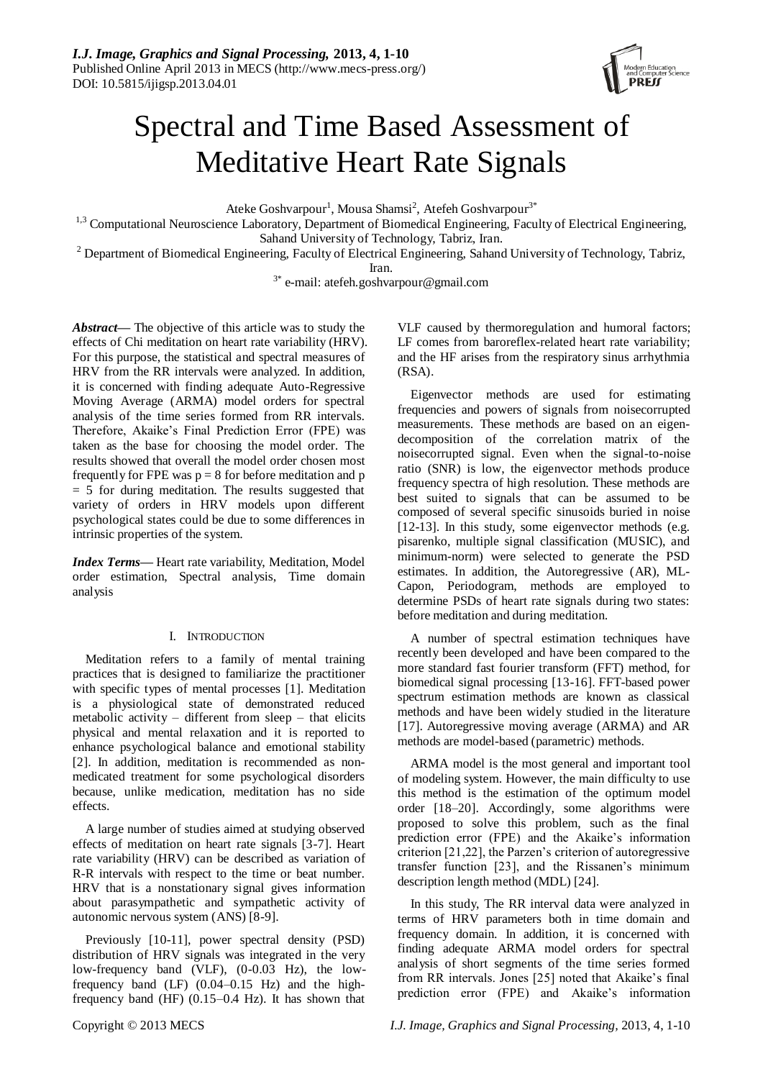

# Spectral and Time Based Assessment of Meditative Heart Rate Signals

Ateke Goshvarpour<sup>1</sup>, Mousa Shamsi<sup>2</sup>, Atefeh Goshvarpour<sup>3\*</sup>

<sup>1,3</sup> Computational Neuroscience Laboratory, Department of Biomedical Engineering, Faculty of Electrical Engineering, Sahand University of Technology, Tabriz, Iran.

<sup>2</sup> Department of Biomedical Engineering, Faculty of Electrical Engineering, Sahand University of Technology, Tabriz, Iran.

3\* e-mail: atefeh.goshvarpour@gmail.com

*Abstract—* The objective of this article was to study the effects of Chi meditation on heart rate variability (HRV). For this purpose, the statistical and spectral measures of HRV from the RR intervals were analyzed. In addition, it is concerned with finding adequate Auto-Regressive Moving Average (ARMA) model orders for spectral analysis of the time series formed from RR intervals. Therefore, Akaike's Final Prediction Error (FPE) was taken as the base for choosing the model order. The results showed that overall the model order chosen most frequently for FPE was  $p = 8$  for before meditation and p  $= 5$  for during meditation. The results suggested that variety of orders in HRV models upon different psychological states could be due to some differences in intrinsic properties of the system.

*Index Terms—* Heart rate variability, Meditation, Model order estimation, Spectral analysis, Time domain analysis

## I. INTRODUCTION

Meditation refers to a family of mental training practices that is designed to familiarize the practitioner with specific types of mental processes [1]. Meditation is a physiological state of demonstrated reduced metabolic activity – different from sleep – that elicits physical and mental relaxation and it is reported to enhance psychological balance and emotional stability [2]. In addition, meditation is recommended as nonmedicated treatment for some psychological disorders because, unlike medication, meditation has no side effects.

A large number of studies aimed at studying observed effects of meditation on heart rate signals [3-7]. Heart rate variability (HRV) can be described as variation of R-R intervals with respect to the time or beat number. HRV that is a nonstationary signal gives information about parasympathetic and sympathetic activity of autonomic nervous system (ANS) [8-9].

Previously [10-11], power spectral density (PSD) distribution of HRV signals was integrated in the very low-frequency band (VLF), (0-0.03 Hz), the lowfrequency band (LF) (0.04–0.15 Hz) and the highfrequency band (HF) (0.15–0.4 Hz). It has shown that

VLF caused by thermoregulation and humoral factors; LF comes from baroreflex-related heart rate variability; and the HF arises from the respiratory sinus arrhythmia (RSA).

Eigenvector methods are used for estimating frequencies and powers of signals from noisecorrupted measurements. These methods are based on an eigendecomposition of the correlation matrix of the noisecorrupted signal. Even when the signal-to-noise ratio (SNR) is low, the eigenvector methods produce frequency spectra of high resolution. These methods are best suited to signals that can be assumed to be composed of several specific sinusoids buried in noise [12-13]. In this study, some eigenvector methods (e.g. pisarenko, multiple signal classification (MUSIC), and minimum-norm) were selected to generate the PSD estimates. In addition, the Autoregressive (AR), ML-Capon, Periodogram, methods are employed to determine PSDs of heart rate signals during two states: before meditation and during meditation.

A number of spectral estimation techniques have recently been developed and have been compared to the more standard fast fourier transform (FFT) method, for biomedical signal processing [13-16]. FFT-based power spectrum estimation methods are known as classical methods and have been widely studied in the literature [17]. Autoregressive moving average (ARMA) and AR methods are model-based (parametric) methods.

ARMA model is the most general and important tool of modeling system. However, the main difficulty to use this method is the estimation of the optimum model order [18–20]. Accordingly, some algorithms were proposed to solve this problem, such as the final prediction error (FPE) and the Akaike's information criterion [21,22], the Parzen's criterion of autoregressive transfer function [23], and the Rissanen's minimum description length method (MDL) [24].

In this study, The RR interval data were analyzed in terms of HRV parameters both in time domain and frequency domain. In addition, it is concerned with finding adequate ARMA model orders for spectral analysis of short segments of the time series formed from RR intervals. Jones [25] noted that Akaike's final prediction error (FPE) and Akaike's information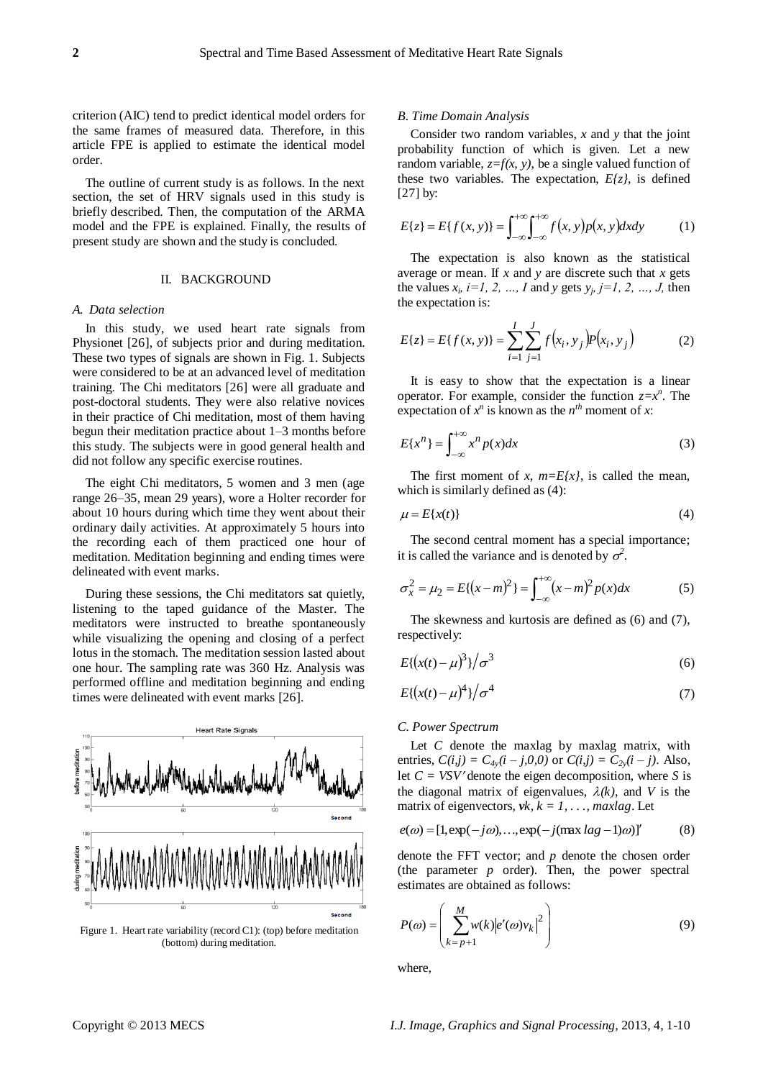criterion (AIC) tend to predict identical model orders for the same frames of measured data. Therefore, in this article FPE is applied to estimate the identical model order.

The outline of current study is as follows. In the next section, the set of HRV signals used in this study is briefly described. Then, the computation of the ARMA model and the FPE is explained. Finally, the results of present study are shown and the study is concluded.

#### II. BACKGROUND

#### *A. Data selection*

In this study, we used heart rate signals from Physionet [26], of subjects prior and during meditation. These two types of signals are shown in Fig. 1. Subjects were considered to be at an advanced level of meditation training. The Chi meditators [26] were all graduate and post-doctoral students. They were also relative novices in their practice of Chi meditation, most of them having begun their meditation practice about 1–3 months before this study. The subjects were in good general health and did not follow any specific exercise routines.

The eight Chi meditators, 5 women and 3 men (age range 26–35, mean 29 years), wore a Holter recorder for about 10 hours during which time they went about their ordinary daily activities. At approximately 5 hours into the recording each of them practiced one hour of meditation. Meditation beginning and ending times were delineated with event marks.

During these sessions, the Chi meditators sat quietly, listening to the taped guidance of the Master. The meditators were instructed to breathe spontaneously while visualizing the opening and closing of a perfect lotus in the stomach. The meditation session lasted about one hour. The sampling rate was 360 Hz. Analysis was performed offline and meditation beginning and ending times were delineated with event marks [26].



Figure 1. Heart rate variability (record C1): (top) before meditation (bottom) during meditation.

#### *B. Time Domain Analysis*

Consider two random variables, *x* and *y* that the joint probability function of which is given. Let a new random variable,  $z=f(x, y)$ , be a single valued function of these two variables. The expectation,  $E\{z\}$ , is defined [27] by:

$$
E\{z\} = E\{f(x, y)\} = \int_{-\infty}^{+\infty} \int_{-\infty}^{+\infty} f(x, y) p(x, y) dx dy \tag{1}
$$

The expectation is also known as the statistical average or mean. If *x* and *y* are discrete such that *x* gets the values  $x_i$ ,  $i=1, 2, ..., I$  and *y* gets  $y_j$ ,  $j=1, 2, ..., J$ , then the expectation is:

$$
E\{z\} = E\{f(x, y)\} = \sum_{i=1}^{I} \sum_{j=1}^{J} f(x_i, y_j) p(x_i, y_j)
$$
 (2)

It is easy to show that the expectation is a linear operator. For example, consider the function  $z=x^n$ . The expectation of  $x^n$  is known as the  $n^{th}$  moment of x:

$$
E\{x^n\} = \int_{-\infty}^{+\infty} x^n p(x) dx
$$
 (3)

The first moment of *x*,  $m = E\{x\}$ , is called the mean, which is similarly defined as (4):

$$
\mu = E\{x(t)\}\tag{4}
$$

The second central moment has a special importance; it is called the variance and is denoted by  $\sigma^2$ .

$$
\sigma_x^2 = \mu_2 = E\{(x - m)^2\} = \int_{-\infty}^{+\infty} (x - m)^2 p(x) dx
$$
 (5)

The skewness and kurtosis are defined as (6) and (7), respectively:

$$
E\{(x(t) - \mu)^3\} / \sigma^3 \tag{6}
$$

$$
E\{(x(t)-\mu)^4\}/\sigma^4\tag{7}
$$

#### *C. Power Spectrum*

Let *C* denote the maxlag by maxlag matrix, with entries,  $C(i,j) = C_{4y}(i - j,0,0)$  or  $C(i,j) = C_{2y}(i - j)$ . Also, let  $C = VSV$  denote the eigen decomposition, where *S* is the diagonal matrix of eigenvalues,  $\lambda(k)$ , and *V* is the matrix of eigenvectors,  $vk, k = 1, \ldots$ , maxlag. Let

$$
e(\omega) = [1, \exp(-j\omega), \dots, \exp(-j(\max \log -1)\omega)]'
$$
 (8)

denote the FFT vector; and *p* denote the chosen order (the parameter *p* order). Then, the power spectral estimates are obtained as follows:

$$
P(\omega) = \left(\sum_{k=p+1}^{M} w(k) |e'(\omega)v_k|^2\right)
$$
\n(9)

where,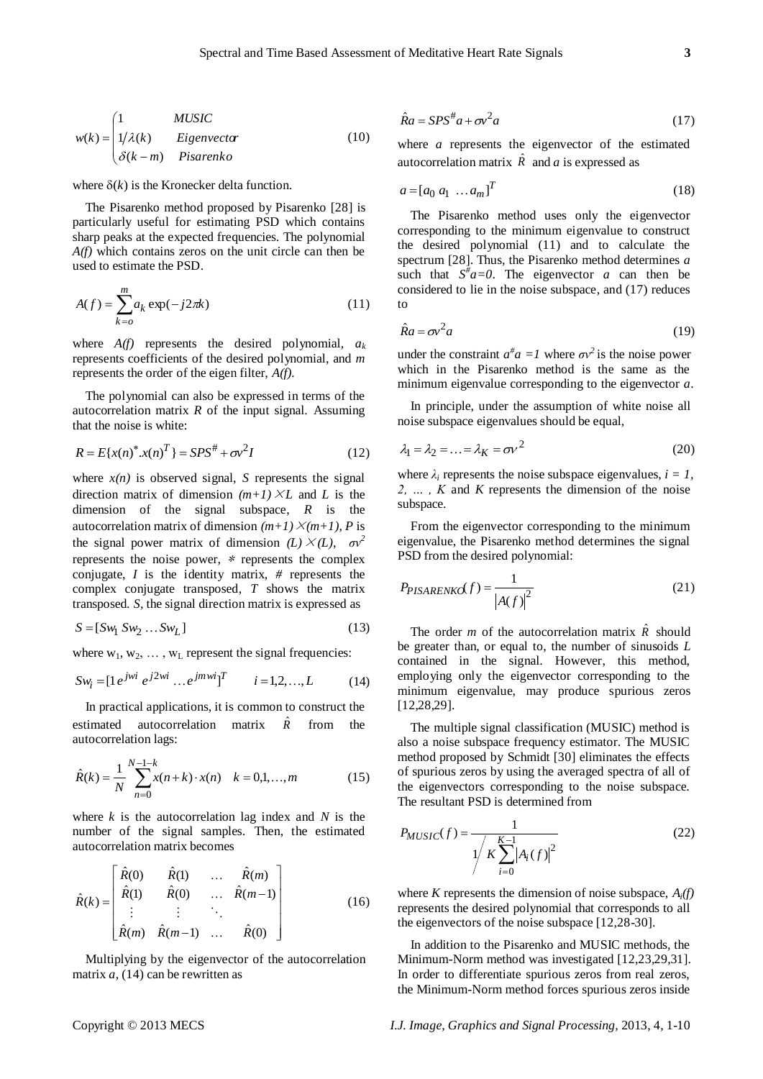$$
w(k) = \begin{cases} 1 & MUSIC \\ 1/\lambda(k) & Eigenvector \\ \delta(k-m) & Pisarenko \end{cases}
$$
 (10)

where  $\delta(k)$  is the Kronecker delta function.

The Pisarenko method proposed by Pisarenko [28] is particularly useful for estimating PSD which contains sharp peaks at the expected frequencies. The polynomial *A(f)* which contains zeros on the unit circle can then be used to estimate the PSD.

$$
A(f) = \sum_{k=0}^{m} a_k \exp(-j2\pi k)
$$
 (11)

where  $A(f)$  represents the desired polynomial,  $a_k$ represents coefficients of the desired polynomial, and *m* represents the order of the eigen filter, *A(f).*

The polynomial can also be expressed in terms of the autocorrelation matrix *R* of the input signal. Assuming that the noise is white:

$$
R = E{x(n)}^* x(n)^T = SPS^* + \sigma v^2 I \tag{12}
$$

where  $x(n)$  is observed signal, *S* represents the signal direction matrix of dimension  $(m+1) \times L$  and *L* is the dimension of the signal subspace, *R* is the autocorrelation matrix of dimension  $(m+1) \times (m+1)$ , *P* is the signal power matrix of dimension  $(L) \times (L)$ ,  $\sigma v^2$ represents the noise power, <sup>∗</sup> represents the complex conjugate, *I* is the identity matrix, *#* represents the complex conjugate transposed, *T* shows the matrix transposed. *S*, the signal direction matrix is expressed as

$$
S = [Sw_1 \; Sw_2 \; \dots \; Sw_L] \tag{13}
$$

where  $w_1, w_2, \ldots, w_L$  represent the signal frequencies:

$$
Sw_i = [1 \, e^{jwi} \, e^{j2wi} \, \dots \, e^{j mwi}]^T \qquad i = 1, 2, \dots, L \tag{14}
$$

In practical applications, it is common to construct the estimated autocorrelation matrix  $\hat{R}$ from the autocorrelation lags:

$$
\hat{R}(k) = \frac{1}{N} \sum_{n=0}^{N-1-k} x(n+k) \cdot x(n) \quad k = 0,1,...,m
$$
 (15)

where *k* is the autocorrelation lag index and *N* is the number of the signal samples. Then, the estimated autocorrelation matrix becomes

$$
\hat{R}(k) = \begin{bmatrix}\n\hat{R}(0) & \hat{R}(1) & \dots & \hat{R}(m) \\
\hat{R}(1) & \hat{R}(0) & \dots & \hat{R}(m-1) \\
\vdots & \vdots & \ddots & \vdots \\
\hat{R}(m) & \hat{R}(m-1) & \dots & \hat{R}(0)\n\end{bmatrix}
$$
\n(16)

Multiplying by the eigenvector of the autocorrelation matrix  $a$ , (14) can be rewritten as

$$
\hat{R}a = SPS^{\#}a + \sigma v^2 a \tag{17}
$$

where *a* represents the eigenvector of the estimated autocorrelation matrix  $\hat{R}$  and *a* is expressed as

$$
a = [a_0 \ a_1 \ \dots \ a_m]^T
$$
\n<sup>(18)</sup>

The Pisarenko method uses only the eigenvector corresponding to the minimum eigenvalue to construct the desired polynomial (11) and to calculate the spectrum [28]. Thus, the Pisarenko method determines *a* such that  $S^{\#}a=0$ . The eigenvector *a* can then be considered to lie in the noise subspace, and (17) reduces to

$$
\hat{R}a = \sigma v^2 a \tag{19}
$$

under the constraint  $a^{\#}a = I$  where  $\sigma v^2$  is the noise power which in the Pisarenko method is the same as the minimum eigenvalue corresponding to the eigenvector *a*.

In principle, under the assumption of white noise all noise subspace eigenvalues should be equal,

$$
\lambda_1 = \lambda_2 = \dots = \lambda_K = \sigma v^2 \tag{20}
$$

where  $\lambda_i$  represents the noise subspace eigenvalues,  $i = 1$ . *2, … , K* and *K* represents the dimension of the noise subspace.

From the eigenvector corresponding to the minimum eigenvalue, the Pisarenko method determines the signal PSD from the desired polynomial:

$$
P_{PISARENKG}(f) = \frac{1}{|A(f)|^2}
$$
\n(21)

The order *m* of the autocorrelation matrix  $\hat{R}$  should be greater than, or equal to, the number of sinusoids *L* contained in the signal. However, this method, employing only the eigenvector corresponding to the minimum eigenvalue, may produce spurious zeros [12,28,29].

The multiple signal classification (MUSIC) method is also a noise subspace frequency estimator. The MUSIC method proposed by Schmidt [30] eliminates the effects of spurious zeros by using the averaged spectra of all of the eigenvectors corresponding to the noise subspace. The resultant PSD is determined from

$$
P_{MUSIC}(f) = \frac{1}{\sqrt{\frac{K-1}{K\sum_{i=0}^{K-1} |A_i(f)|^2}}}
$$
(22)

where *K* represents the dimension of noise subspace, *Ai(f)* represents the desired polynomial that corresponds to all the eigenvectors of the noise subspace [12,28-30].

In addition to the Pisarenko and MUSIC methods, the Minimum-Norm method was investigated [12,23,29,31]. In order to differentiate spurious zeros from real zeros, the Minimum-Norm method forces spurious zeros inside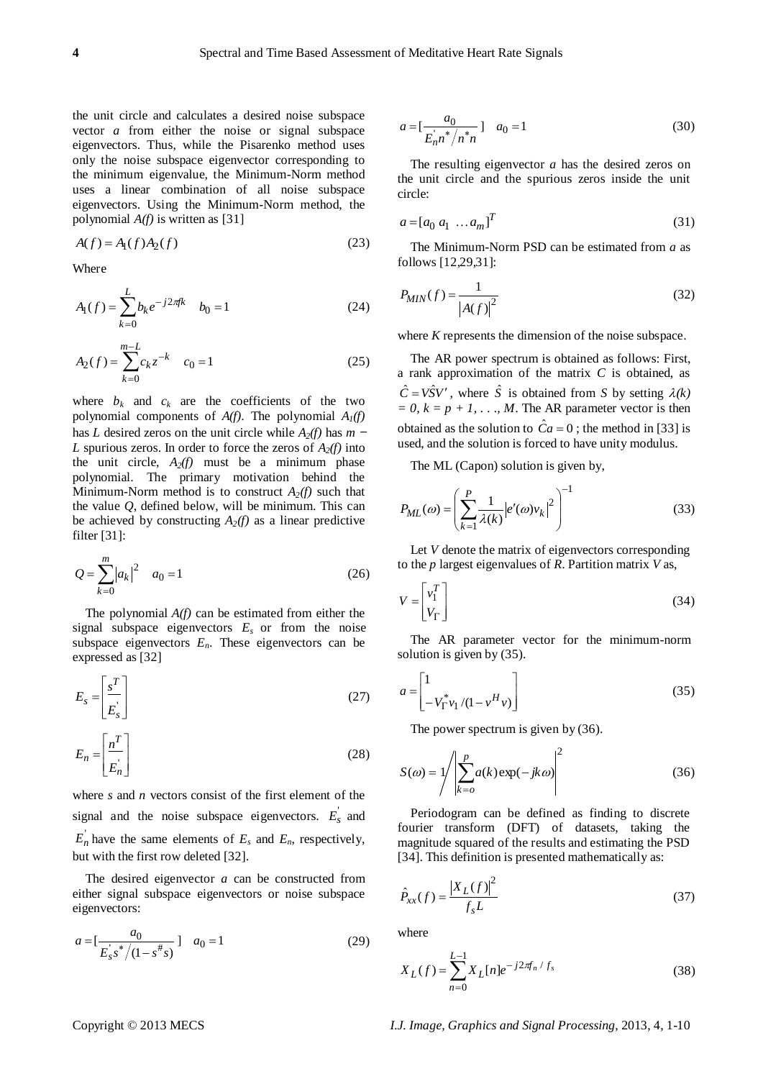the unit circle and calculates a desired noise subspace vector *a* from either the noise or signal subspace eigenvectors. Thus, while the Pisarenko method uses only the noise subspace eigenvector corresponding to the minimum eigenvalue, the Minimum-Norm method uses a linear combination of all noise subspace eigenvectors. Using the Minimum-Norm method, the polynomial *A(f)* is written as [31]

$$
A(f) = A1(f)A2(f)
$$
 (23)

Where

$$
A_1(f) = \sum_{k=0}^{L} b_k e^{-j2\pi f k} \quad b_0 = 1
$$
 (24)

$$
A_2(f) = \sum_{k=0}^{m-L} c_k z^{-k} \quad c_0 = 1 \tag{25}
$$

where  $b_k$  and  $c_k$  are the coefficients of the two polynomial components of *A(f)*. The polynomial *A1(f)* has *L* desired zeros on the unit circle while *A2(f)* has *m* <sup>−</sup> *L* spurious zeros. In order to force the zeros of  $A_2(f)$  into the unit circle,  $A_2(f)$  must be a minimum phase polynomial. The primary motivation behind the Minimum-Norm method is to construct  $A_2(f)$  such that the value *Q*, defined below, will be minimum. This can be achieved by constructing  $A_2(f)$  as a linear predictive filter [31]:

$$
Q = \sum_{k=0}^{m} |a_k|^2 \quad a_0 = 1 \tag{26}
$$

The polynomial *A(f)* can be estimated from either the signal subspace eigenvectors  $E<sub>s</sub>$  or from the noise subspace eigenvectors  $E_n$ . These eigenvectors can be expressed as [32]

$$
E_s = \left[\frac{s^T}{E_s}\right] \tag{27}
$$

$$
E_n = \left[\frac{n^T}{E_n}\right] \tag{28}
$$

where *s* and *n* vectors consist of the first element of the signal and the noise subspace eigenvectors.  $E_s$  and  $E_n$  have the same elements of  $E_s$  and  $E_n$ , respectively, but with the first row deleted [32].

The desired eigenvector *a* can be constructed from either signal subspace eigenvectors or noise subspace eigenvectors:

$$
a = \left[\frac{a_0}{E_s's^* / (1 - s^*s)}\right] \quad a_0 = 1 \tag{29}
$$

$$
a = \left[\frac{a_0}{E_n n^* / n^* n}\right] \quad a_0 = 1 \tag{30}
$$

The resulting eigenvector *a* has the desired zeros on the unit circle and the spurious zeros inside the unit circle:

$$
a = [a_0 \ a_1 \ \dots \ a_m]^T
$$
\n<sup>(31)</sup>

The Minimum-Norm PSD can be estimated from *a* as follows [12,29,31]:

$$
P_{MIN}(f) = \frac{1}{\left|A(f)\right|^2} \tag{32}
$$

where *K* represents the dimension of the noise subspace.

The AR power spectrum is obtained as follows: First, a rank approximation of the matrix *C* is obtained, as  $\hat{C} = V\hat{S}V'$ , where  $\hat{S}$  is obtained from *S* by setting  $\lambda(k)$  $= 0, k = p + 1, \ldots, M$ . The AR parameter vector is then obtained as the solution to  $\hat{C}a = 0$ ; the method in [33] is used, and the solution is forced to have unity modulus.

The ML (Capon) solution is given by,

$$
P_{ML}(\omega) = \left(\sum_{k=1}^{P} \frac{1}{\lambda(k)} |e'(\omega)v_k|^2\right)^{-1}
$$
\n(33)

Let *V* denote the matrix of eigenvectors corresponding to the *p* largest eigenvalues of *R*. Partition matrix *V* as,

$$
V = \begin{bmatrix} v_1^T \\ V_\Gamma \end{bmatrix} \tag{34}
$$

The AR parameter vector for the minimum-norm solution is given by (35).

$$
a = \begin{bmatrix} 1 & & \\ -V_{\Gamma}^* v_1 / (1 - v^H v) \end{bmatrix}
$$
 (35)

The power spectrum is given by  $(36)$ .

$$
S(\omega) = 1 / \left| \sum_{k=0}^{p} a(k) \exp(-jk\omega) \right|^2
$$
 (36)

Periodogram can be defined as finding to discrete fourier transform (DFT) of datasets, taking the magnitude squared of the results and estimating the PSD [34]. This definition is presented mathematically as:

$$
\hat{P}_{xx}(f) = \frac{|X_L(f)|^2}{f_s L}
$$
\n(37)

where

$$
X_L(f) = \sum_{n=0}^{L-1} X_L[n] e^{-j2\pi \int f_s}
$$
 (38)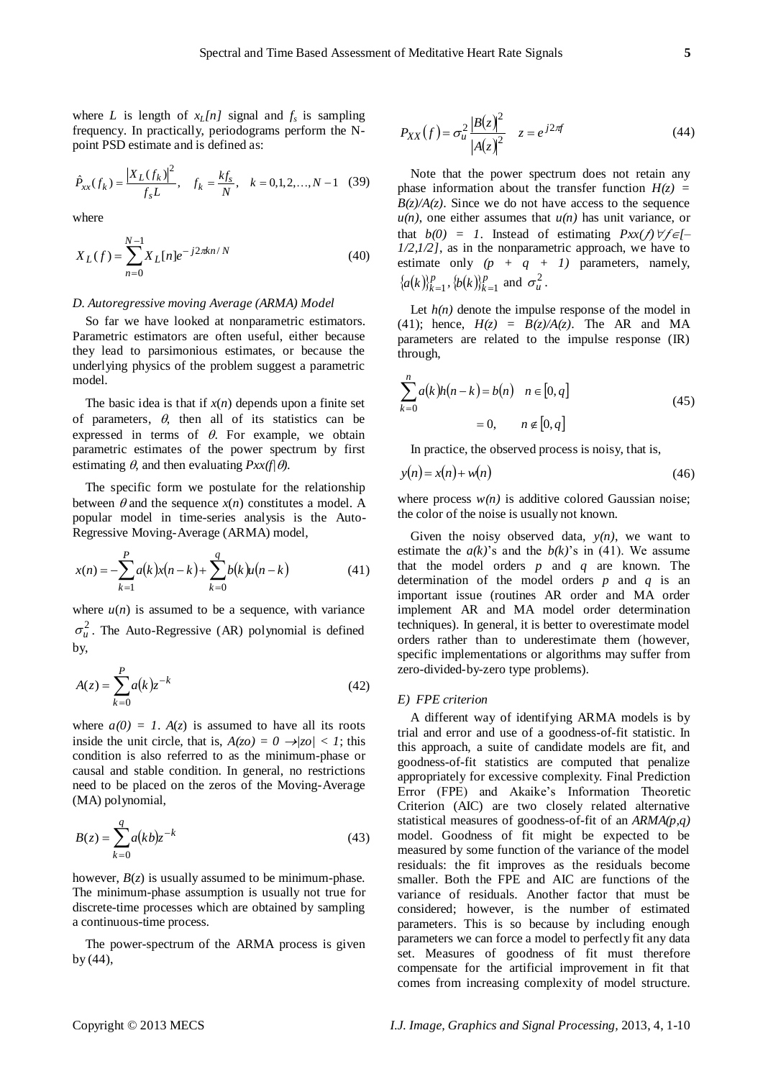where *L* is length of  $x_L[n]$  signal and  $f_s$  is sampling frequency. In practically, periodograms perform the Npoint PSD estimate and is defined as:

$$
\hat{P}_{xx}(f_k) = \frac{|X_L(f_k)|^2}{f_s L}, \quad f_k = \frac{k f_s}{N}, \quad k = 0, 1, 2, ..., N - 1 \quad (39)
$$

where

$$
X_L(f) = \sum_{n=0}^{N-1} X_L[n]e^{-j2\pi kn/N}
$$
\n(40)

#### *D. Autoregressive moving Average (ARMA) Model*

So far we have looked at nonparametric estimators. Parametric estimators are often useful, either because they lead to parsimonious estimates, or because the underlying physics of the problem suggest a parametric model.

The basic idea is that if  $x(n)$  depends upon a finite set of parameters,  $\theta$ , then all of its statistics can be expressed in terms of  $\theta$ . For example, we obtain parametric estimates of the power spectrum by first estimating  $\theta$ , and then evaluating  $Pxx(f|\theta)$ .

The specific form we postulate for the relationship between  $\theta$  and the sequence  $x(n)$  constitutes a model. A popular model in time-series analysis is the Auto-Regressive Moving-Average (ARMA) model,

$$
x(n) = -\sum_{k=1}^{P} a(k)x(n-k) + \sum_{k=0}^{q} b(k)u(n-k)
$$
 (41)

where  $u(n)$  is assumed to be a sequence, with variance  $\sigma_u^2$ . The Auto-Regressive (AR) polynomial is defined by,

$$
A(z) = \sum_{k=0}^{P} a(k) z^{-k}
$$
 (42)

where  $a(0) = 1$ .  $A(z)$  is assumed to have all its roots inside the unit circle, that is,  $A(z_0) = 0 \rightarrow |z_0| < 1$ ; this condition is also referred to as the minimum-phase or causal and stable condition. In general, no restrictions need to be placed on the zeros of the Moving-Average (MA) polynomial,

$$
B(z) = \sum_{k=0}^{q} a(kb) z^{-k}
$$
 (43)

however,  $B(z)$  is usually assumed to be minimum-phase. The minimum-phase assumption is usually not true for discrete-time processes which are obtained by sampling a continuous-time process.

The power-spectrum of the ARMA process is given by (44),

$$
P_{XX}(f) = \sigma_u^2 \frac{|B(z)|^2}{|A(z)|^2} \quad z = e^{j2\pi f} \tag{44}
$$

Note that the power spectrum does not retain any phase information about the transfer function  $H(z)$  =  $B(z)/A(z)$ . Since we do not have access to the sequence  $u(n)$ , one either assumes that  $u(n)$  has unit variance, or that  $b(0) = 1$ . Instead of estimating  $Pxx(f)\forall f \in [-1, 1]$ *1/2,1/2]*, as in the nonparametric approach, we have to estimate only  $(p + q + 1)$  parameters, namely,  ${a(k)}_k^p$  $[a(k)]_{k=1}^p, \{b(k)\}_{k=1}^p$  $(b(k))_{k=1}^p$  and  $\sigma_u^2$ .

Let  $h(n)$  denote the impulse response of the model in (41); hence,  $H(z) = B(z)/A(z)$ . The AR and MA parameters are related to the impulse response (IR) through,

$$
\sum_{k=0}^{n} a(k)h(n-k) = b(n) \quad n \in [0, q]
$$
\n
$$
= 0, \qquad n \notin [0, q]
$$
\n(45)

In practice, the observed process is noisy, that is,

$$
y(n) = x(n) + w(n) \tag{46}
$$

where process  $w(n)$  is additive colored Gaussian noise; the color of the noise is usually not known.

Given the noisy observed data,  $y(n)$ , we want to estimate the  $a(k)$ 's and the  $b(k)$ 's in (41). We assume that the model orders *p* and *q* are known. The determination of the model orders *p* and *q* is an important issue (routines AR order and MA order implement AR and MA model order determination techniques). In general, it is better to overestimate model orders rather than to underestimate them (however, specific implementations or algorithms may suffer from zero-divided-by-zero type problems).

#### *E) FPE criterion*

A different way of identifying ARMA models is by trial and error and use of a goodness-of-fit statistic. In this approach, a suite of candidate models are fit, and goodness-of-fit statistics are computed that penalize appropriately for excessive complexity. Final Prediction Error (FPE) and Akaike's Information Theoretic Criterion (AIC) are two closely related alternative statistical measures of goodness-of-fit of an *ARMA(p,q)* model. Goodness of fit might be expected to be measured by some function of the variance of the model residuals: the fit improves as the residuals become smaller. Both the FPE and AIC are functions of the variance of residuals. Another factor that must be considered; however, is the number of estimated parameters. This is so because by including enough parameters we can force a model to perfectly fit any data set. Measures of goodness of fit must therefore compensate for the artificial improvement in fit that comes from increasing complexity of model structure.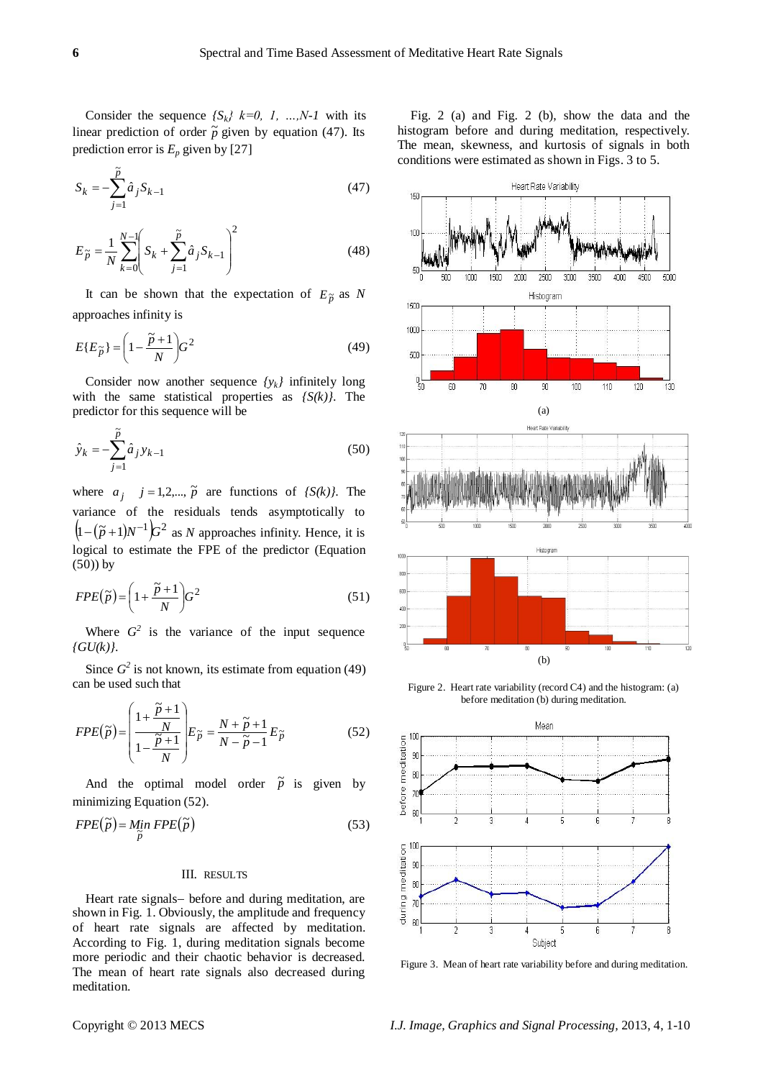Consider the sequence  ${S_k}$   $k=0, 1, ..., N-1$  with its linear prediction of order  $\tilde{p}$  given by equation (47). Its prediction error is  $E_p$  given by [27]

$$
S_k = -\sum_{j=1}^{\tilde{p}} \hat{a}_j S_{k-1}
$$
 (47)

$$
E_{\tilde{p}} = \frac{1}{N} \sum_{k=0}^{N-1} \left( S_k + \sum_{j=1}^{\tilde{p}} \hat{a}_j S_{k-1} \right)^2
$$
 (48)

It can be shown that the expectation of  $E_{\tilde{p}}$  as N approaches infinity is

$$
E\{E_{\widetilde{p}}\} = \left(1 - \frac{\widetilde{p} + 1}{N}\right)G^2\tag{49}
$$

Consider now another sequence *{yk}* infinitely long with the same statistical properties as *{S(k)}*. The predictor for this sequence will be

$$
\hat{y}_k = -\sum_{j=1}^{\tilde{p}} \hat{a}_j y_{k-1}
$$
\n(50)

where  $a_j$   $j = 1,2,..., \tilde{p}$  are functions of *{S(k)}*. The variance of the residuals tends asymptotically to  $(1 - (\tilde{p} + 1)N^{-1})G^2$  as *N* approaches infinity. Hence, it is logical to estimate the FPE of the predictor (Equation  $(50)$ ) by

$$
FPE(\tilde{p}) = \left(1 + \frac{\tilde{p} + 1}{N}\right)G^2\tag{51}
$$

Where  $G^2$  is the variance of the input sequence *{GU(k)}*.

Since  $G^2$  is not known, its estimate from equation (49) can be used such that

$$
FPE(\tilde{p}) = \left(\frac{1 + \frac{\tilde{p} + 1}{N}}{1 - \frac{\tilde{p} + 1}{N}}\right) E_{\tilde{p}} = \frac{N + \tilde{p} + 1}{N - \tilde{p} - 1} E_{\tilde{p}}
$$
(52)

And the optimal model order  $\tilde{p}$  is given by minimizing Equation (52).

$$
FPE(\tilde{p}) = \underset{\tilde{p}}{\text{Min}} FPE(\tilde{p})
$$
\n(53)

### III. RESULTS

Heart rate signals- before and during meditation, are shown in Fig. 1. Obviously, the amplitude and frequency of heart rate signals are affected by meditation. According to Fig. 1, during meditation signals become more periodic and their chaotic behavior is decreased. The mean of heart rate signals also decreased during meditation.

Fig. 2 (a) and Fig. 2 (b), show the data and the histogram before and during meditation, respectively. The mean, skewness, and kurtosis of signals in both conditions were estimated as shown in Figs. 3 to 5.



Figure 2. Heart rate variability (record C4) and the histogram: (a) before meditation (b) during meditation.



Figure 3. Mean of heart rate variability before and during meditation.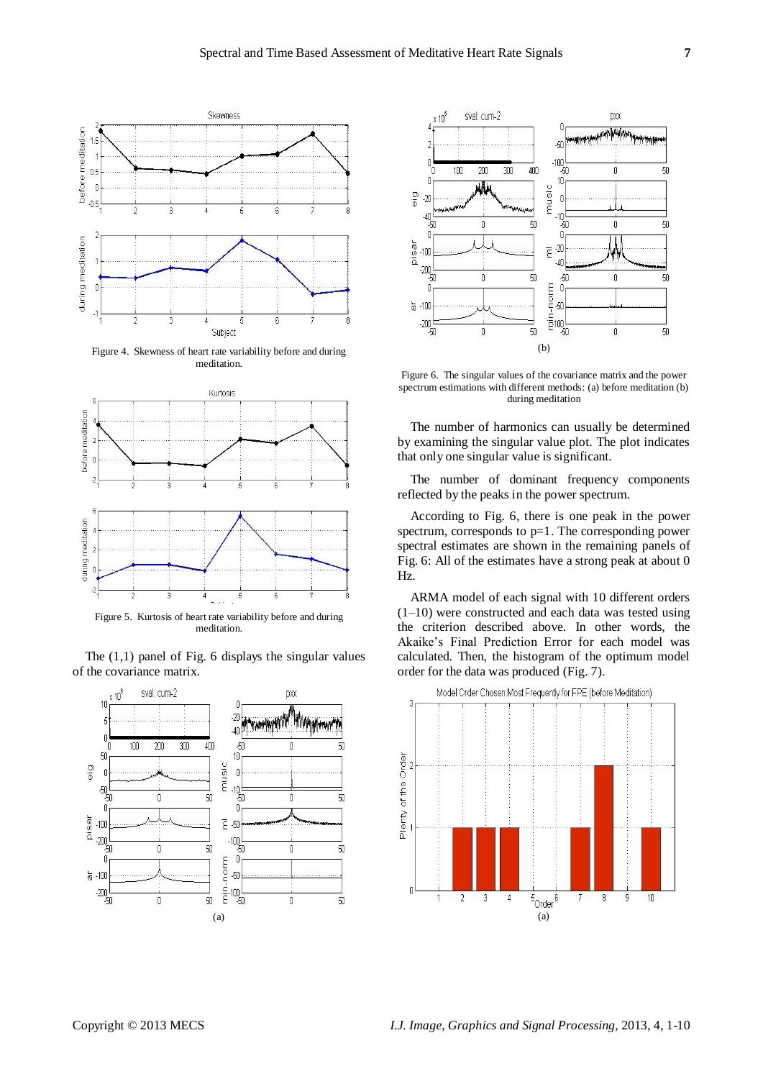

Figure 4. Skewness of heart rate variability before and during meditation.



meditation.

The  $(1,1)$  panel of Fig. 6 displays the singular values of the covariance matrix.





Figure 6. The singular values of the covariance matrix and the power spectrum estimations with different methods: (a) before meditation (b) during meditation

The number of harmonics can usually be determined by examining the singular value plot. The plot indicates that only one singular value is significant.

The number of dominant frequency components reflected by the peaks in the power spectrum.

According to Fig. 6, there is one peak in the power spectrum, corresponds to p=1. The corresponding power spectral estimates are shown in the remaining panels of Fig. 6: All of the estimates have a strong peak at about 0 Hz.

ARMA model of each signal with 10 different orders (1–10) were constructed and each data was tested using the criterion described above. In other words, the Akaike's Final Prediction Error for each model was calculated. Then, the histogram of the optimum model order for the data was produced (Fig. 7).

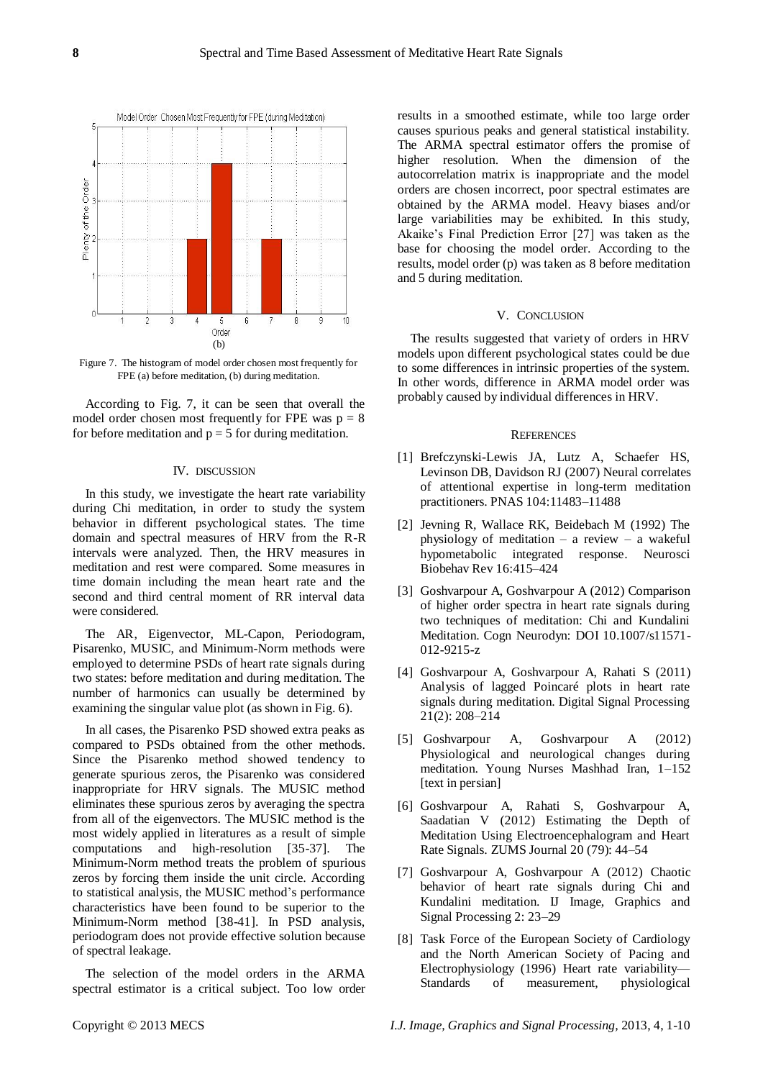

Figure 7. The histogram of model order chosen most frequently for FPE (a) before meditation, (b) during meditation.

According to Fig. 7, it can be seen that overall the model order chosen most frequently for FPE was  $p = 8$ for before meditation and  $p = 5$  for during meditation.

#### IV. DISCUSSION

In this study, we investigate the heart rate variability during Chi meditation, in order to study the system behavior in different psychological states. The time domain and spectral measures of HRV from the R-R intervals were analyzed. Then, the HRV measures in meditation and rest were compared. Some measures in time domain including the mean heart rate and the second and third central moment of RR interval data were considered.

The AR, Eigenvector, ML-Capon, Periodogram, Pisarenko, MUSIC, and Minimum-Norm methods were employed to determine PSDs of heart rate signals during two states: before meditation and during meditation. The number of harmonics can usually be determined by examining the singular value plot (as shown in Fig. 6).

In all cases, the Pisarenko PSD showed extra peaks as compared to PSDs obtained from the other methods. Since the Pisarenko method showed tendency to generate spurious zeros, the Pisarenko was considered inappropriate for HRV signals. The MUSIC method eliminates these spurious zeros by averaging the spectra from all of the eigenvectors. The MUSIC method is the most widely applied in literatures as a result of simple computations and high-resolution [35-37]. The Minimum-Norm method treats the problem of spurious zeros by forcing them inside the unit circle. According to statistical analysis, the MUSIC method's performance characteristics have been found to be superior to the Minimum-Norm method [38-41]. In PSD analysis, periodogram does not provide effective solution because of spectral leakage.

The selection of the model orders in the ARMA spectral estimator is a critical subject. Too low order

results in a smoothed estimate, while too large order causes spurious peaks and general statistical instability. The ARMA spectral estimator offers the promise of higher resolution. When the dimension of the autocorrelation matrix is inappropriate and the model orders are chosen incorrect, poor spectral estimates are obtained by the ARMA model. Heavy biases and/or large variabilities may be exhibited. In this study, Akaike's Final Prediction Error [27] was taken as the base for choosing the model order. According to the results, model order (p) was taken as 8 before meditation and 5 during meditation.

#### V. CONCLUSION

The results suggested that variety of orders in HRV models upon different psychological states could be due to some differences in intrinsic properties of the system. In other words, difference in ARMA model order was probably caused by individual differences in HRV.

#### **REFERENCES**

- [1] Brefczynski-Lewis JA, Lutz A, Schaefer HS, Levinson DB, Davidson RJ (2007) Neural correlates of attentional expertise in long-term meditation practitioners. PNAS 104:11483–11488
- [2] Jevning R, Wallace RK, Beidebach M (1992) The physiology of meditation – a review – a wakeful hypometabolic integrated response. Neurosci Biobehav Rev 16:415–424
- [3] Goshvarpour A, Goshvarpour A (2012) Comparison of higher order spectra in heart rate signals during two techniques of meditation: Chi and Kundalini Meditation. Cogn Neurodyn: DOI 10.1007/s11571- 012-9215-z
- [4] Goshvarpour A, Goshvarpour A, Rahati S (2011) Analysis of lagged Poincaré plots in heart rate signals during meditation. Digital Signal Processing 21(2): 208–214
- [5] Goshvarpour A, Goshvarpour A (2012) Physiological and neurological changes during meditation. Young Nurses Mashhad Iran, 1–152 [text in persian]
- [6] Goshvarpour A, Rahati S, Goshvarpour A, Saadatian V (2012) Estimating the Depth of Meditation Using Electroencephalogram and Heart Rate Signals. ZUMS Journal 20 (79): 44–54
- [7] Goshvarpour A, Goshvarpour A (2012) Chaotic behavior of heart rate signals during Chi and Kundalini meditation. IJ Image, Graphics and Signal Processing 2: 23–29
- [8] Task Force of the European Society of Cardiology and the North American Society of Pacing and Electrophysiology (1996) Heart rate variability— Standards of measurement, physiological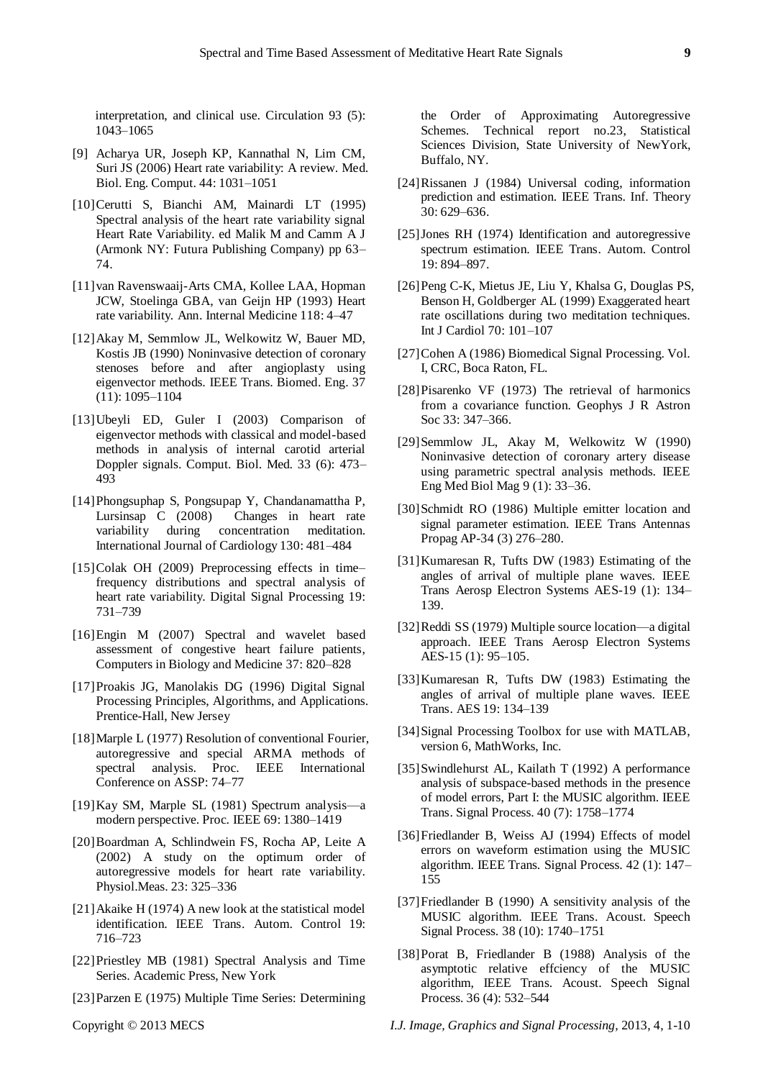interpretation, and clinical use. Circulation 93 (5): 1043–1065

- [9] Acharya UR, Joseph KP, Kannathal N, Lim CM, Suri JS (2006) Heart rate variability: A review. Med. Biol. Eng. Comput. 44: 1031–1051
- [10]Cerutti S, Bianchi AM, Mainardi LT (1995) Spectral analysis of the heart rate variability signal Heart Rate Variability. ed Malik M and Camm A J (Armonk NY: Futura Publishing Company) pp 63– 74.
- [11]van Ravenswaaij-Arts CMA, Kollee LAA, Hopman JCW, Stoelinga GBA, van Geijn HP (1993) Heart rate variability. Ann. Internal Medicine 118: 4–47
- [12]Akay M, Semmlow JL, Welkowitz W, Bauer MD, Kostis JB (1990) Noninvasive detection of coronary stenoses before and after angioplasty using eigenvector methods. IEEE Trans. Biomed. Eng. 37 (11): 1095–1104
- [13]Ubeyli ED, Guler I (2003) Comparison of eigenvector methods with classical and model-based methods in analysis of internal carotid arterial Doppler signals. Comput. Biol. Med. 33 (6): 473– 493
- [14]Phongsuphap S, Pongsupap Y, Chandanamattha P, Lursinsap C (2008) Changes in heart rate variability during concentration meditation. International Journal of Cardiology 130: 481–484
- [15]Colak OH (2009) Preprocessing effects in time– frequency distributions and spectral analysis of heart rate variability. Digital Signal Processing 19: 731–739
- [16]Engin M (2007) Spectral and wavelet based assessment of congestive heart failure patients, Computers in Biology and Medicine 37: 820–828
- [17]Proakis JG, Manolakis DG (1996) Digital Signal Processing Principles, Algorithms, and Applications. Prentice-Hall, New Jersey
- [18]Marple L (1977) Resolution of conventional Fourier, autoregressive and special ARMA methods of spectral analysis. Proc. IEEE International Conference on ASSP: 74–77
- [19]Kay SM, Marple SL (1981) Spectrum analysis—a modern perspective. Proc. IEEE 69: 1380–1419
- [20]Boardman A, Schlindwein FS, Rocha AP, Leite A (2002) A study on the optimum order of autoregressive models for heart rate variability. Physiol.Meas. 23: 325–336
- [21]Akaike H (1974) A new look at the statistical model identification. IEEE Trans. Autom. Control 19: 716–723
- [22]Priestley MB (1981) Spectral Analysis and Time Series. Academic Press, New York
- [23]Parzen E (1975) Multiple Time Series: Determining

the Order of Approximating Autoregressive Schemes. Technical report no.23, Statistical Sciences Division, State University of NewYork, Buffalo, NY.

- [24]Rissanen J (1984) Universal coding, information prediction and estimation. IEEE Trans. Inf. Theory 30: 629–636.
- [25]Jones RH (1974) Identification and autoregressive spectrum estimation. IEEE Trans. Autom. Control 19: 894–897.
- [26]Peng C-K, Mietus JE, Liu Y, Khalsa G, Douglas PS, Benson H, Goldberger AL (1999) Exaggerated heart rate oscillations during two meditation techniques. Int J Cardiol 70: 101–107
- [27]Cohen A (1986) Biomedical Signal Processing. Vol. I, CRC, Boca Raton, FL.
- [28]Pisarenko VF (1973) The retrieval of harmonics from a covariance function. Geophys J R Astron Soc 33: 347–366.
- [29]Semmlow JL, Akay M, Welkowitz W (1990) Noninvasive detection of coronary artery disease using parametric spectral analysis methods. IEEE Eng Med Biol Mag 9 (1): 33–36.
- [30]Schmidt RO (1986) Multiple emitter location and signal parameter estimation. IEEE Trans Antennas Propag AP-34 (3) 276-280.
- [31]Kumaresan R, Tufts DW (1983) Estimating of the angles of arrival of multiple plane waves. IEEE Trans Aerosp Electron Systems AES-19 (1): 134– 139.
- [32]Reddi SS (1979) Multiple source location—a digital approach. IEEE Trans Aerosp Electron Systems AES-15 (1): 95–105.
- [33]Kumaresan R, Tufts DW (1983) Estimating the angles of arrival of multiple plane waves. IEEE Trans. AES 19: 134–139
- [34]Signal Processing Toolbox for use with MATLAB, version 6, MathWorks, Inc.
- [35]Swindlehurst AL, Kailath T (1992) A performance analysis of subspace-based methods in the presence of model errors, Part I: the MUSIC algorithm. IEEE Trans. Signal Process. 40 (7): 1758–1774
- [36]Friedlander B, Weiss AJ (1994) Effects of model errors on waveform estimation using the MUSIC algorithm. IEEE Trans. Signal Process. 42 (1): 147– 155
- [37]Friedlander B (1990) A sensitivity analysis of the MUSIC algorithm. IEEE Trans. Acoust. Speech Signal Process. 38 (10): 1740–1751
- [38]Porat B, Friedlander B (1988) Analysis of the asymptotic relative effciency of the MUSIC algorithm, IEEE Trans. Acoust. Speech Signal Process. 36 (4): 532–544